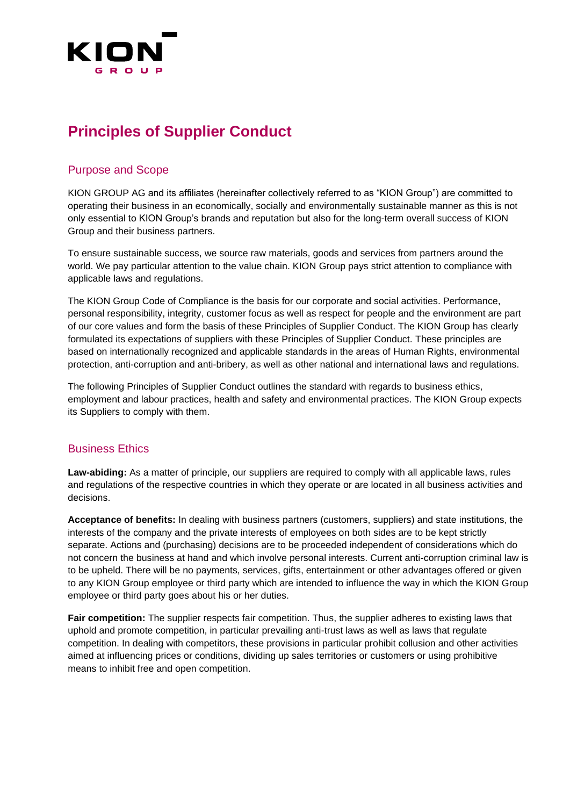

# **Principles of Supplier Conduct**

## Purpose and Scope

KION GROUP AG and its affiliates (hereinafter collectively referred to as "KION Group") are committed to operating their business in an economically, socially and environmentally sustainable manner as this is not only essential to KION Group's brands and reputation but also for the long-term overall success of KION Group and their business partners.

To ensure sustainable success, we source raw materials, goods and services from partners around the world. We pay particular attention to the value chain. KION Group pays strict attention to compliance with applicable laws and regulations.

The KION Group Code of Compliance is the basis for our corporate and social activities. Performance, personal responsibility, integrity, customer focus as well as respect for people and the environment are part of our core values and form the basis of these Principles of Supplier Conduct. The KION Group has clearly formulated its expectations of suppliers with these Principles of Supplier Conduct. These principles are based on internationally recognized and applicable standards in the areas of Human Rights, environmental protection, anti-corruption and anti-bribery, as well as other national and international laws and regulations.

The following Principles of Supplier Conduct outlines the standard with regards to business ethics, employment and labour practices, health and safety and environmental practices. The KION Group expects its Suppliers to comply with them.

### Business Ethics

**Law-abiding:** As a matter of principle, our suppliers are required to comply with all applicable laws, rules and regulations of the respective countries in which they operate or are located in all business activities and decisions.

**Acceptance of benefits:** In dealing with business partners (customers, suppliers) and state institutions, the interests of the company and the private interests of employees on both sides are to be kept strictly separate. Actions and (purchasing) decisions are to be proceeded independent of considerations which do not concern the business at hand and which involve personal interests. Current anti-corruption criminal law is to be upheld. There will be no payments, services, gifts, entertainment or other advantages offered or given to any KION Group employee or third party which are intended to influence the way in which the KION Group employee or third party goes about his or her duties.

**Fair competition:** The supplier respects fair competition. Thus, the supplier adheres to existing laws that uphold and promote competition, in particular prevailing anti-trust laws as well as laws that regulate competition. In dealing with competitors, these provisions in particular prohibit collusion and other activities aimed at influencing prices or conditions, dividing up sales territories or customers or using prohibitive means to inhibit free and open competition.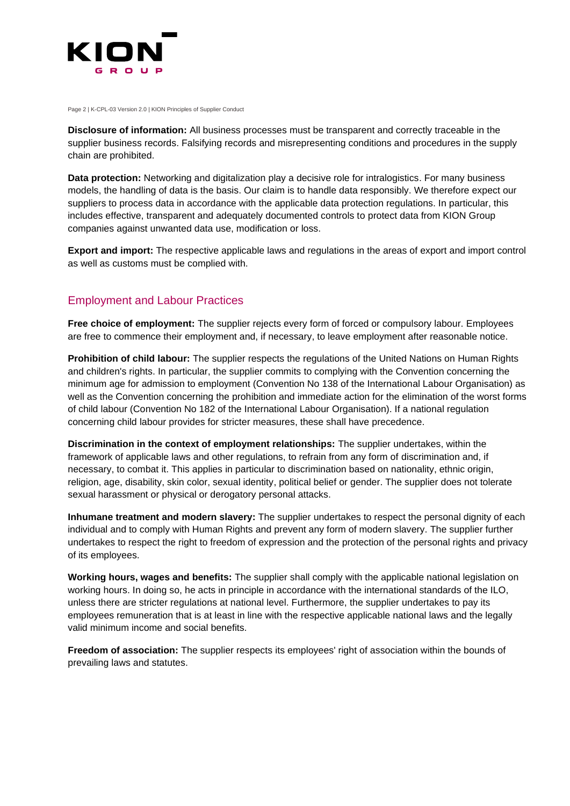

Page 2 | K-CPL-03 Version 2.0 | KION Principles of Supplier Conduct

**Disclosure of information:** All business processes must be transparent and correctly traceable in the supplier business records. Falsifying records and misrepresenting conditions and procedures in the supply chain are prohibited.

**Data protection:** Networking and digitalization play a decisive role for intralogistics. For many business models, the handling of data is the basis. Our claim is to handle data responsibly. We therefore expect our suppliers to process data in accordance with the applicable data protection regulations. In particular, this includes effective, transparent and adequately documented controls to protect data from KION Group companies against unwanted data use, modification or loss.

**Export and import:** The respective applicable laws and regulations in the areas of export and import control as well as customs must be complied with.

# Employment and Labour Practices

**Free choice of employment:** The supplier rejects every form of forced or compulsory labour. Employees are free to commence their employment and, if necessary, to leave employment after reasonable notice.

**Prohibition of child labour:** The supplier respects the regulations of the United Nations on Human Rights and children's rights. In particular, the supplier commits to complying with the Convention concerning the minimum age for admission to employment (Convention No 138 of the International Labour Organisation) as well as the Convention concerning the prohibition and immediate action for the elimination of the worst forms of child labour (Convention No 182 of the International Labour Organisation). If a national regulation concerning child labour provides for stricter measures, these shall have precedence.

**Discrimination in the context of employment relationships:** The supplier undertakes, within the framework of applicable laws and other regulations, to refrain from any form of discrimination and, if necessary, to combat it. This applies in particular to discrimination based on nationality, ethnic origin, religion, age, disability, skin color, sexual identity, political belief or gender. The supplier does not tolerate sexual harassment or physical or derogatory personal attacks.

**Inhumane treatment and modern slavery:** The supplier undertakes to respect the personal dignity of each individual and to comply with Human Rights and prevent any form of modern slavery. The supplier further undertakes to respect the right to freedom of expression and the protection of the personal rights and privacy of its employees.

**Working hours, wages and benefits:** The supplier shall comply with the applicable national legislation on working hours. In doing so, he acts in principle in accordance with the international standards of the ILO, unless there are stricter regulations at national level. Furthermore, the supplier undertakes to pay its employees remuneration that is at least in line with the respective applicable national laws and the legally valid minimum income and social benefits.

**Freedom of association:** The supplier respects its employees' right of association within the bounds of prevailing laws and statutes.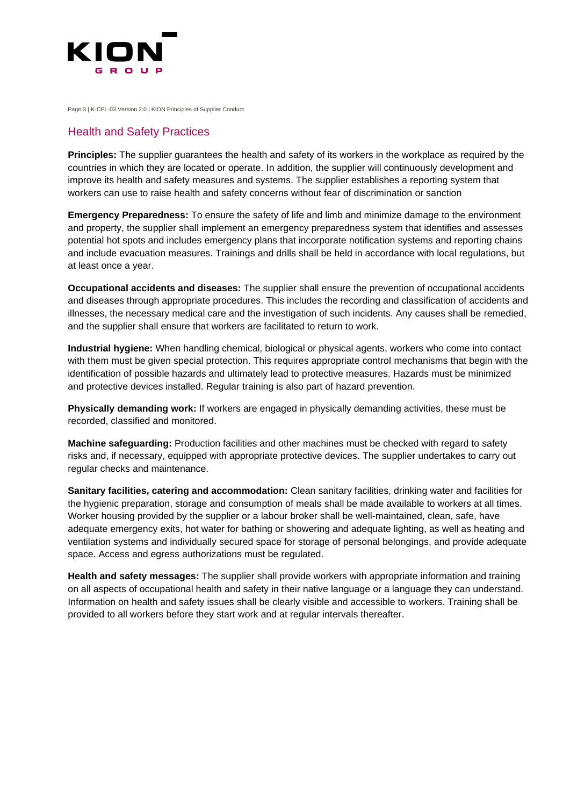

Page 3 | K-CPL-03 Version 2.0 | KION Principles of Supplier Conduct

#### Health and Safety Practices

**Principles:** The supplier guarantees the health and safety of its workers in the workplace as required by the countries in which they are located or operate. In addition, the supplier will continuously development and improve its health and safety measures and systems. The supplier establishes a reporting system that workers can use to raise health and safety concerns without fear of discrimination or sanction

**Emergency Preparedness:** To ensure the safety of life and limb and minimize damage to the environment and property, the supplier shall implement an emergency preparedness system that identifies and assesses potential hot spots and includes emergency plans that incorporate notification systems and reporting chains and include evacuation measures. Trainings and drills shall be held in accordance with local regulations, but at least once a year.

**Occupational accidents and diseases:** The supplier shall ensure the prevention of occupational accidents and diseases through appropriate procedures. This includes the recording and classification of accidents and illnesses, the necessary medical care and the investigation of such incidents. Any causes shall be remedied, and the supplier shall ensure that workers are facilitated to return to work.

**Industrial hygiene:** When handling chemical, biological or physical agents, workers who come into contact with them must be given special protection. This requires appropriate control mechanisms that begin with the identification of possible hazards and ultimately lead to protective measures. Hazards must be minimized and protective devices installed. Regular training is also part of hazard prevention.

**Physically demanding work:** If workers are engaged in physically demanding activities, these must be recorded, classified and monitored.

**Machine safeguarding:** Production facilities and other machines must be checked with regard to safety risks and, if necessary, equipped with appropriate protective devices. The supplier undertakes to carry out regular checks and maintenance.

**Sanitary facilities, catering and accommodation:** Clean sanitary facilities, drinking water and facilities for the hygienic preparation, storage and consumption of meals shall be made available to workers at all times. Worker housing provided by the supplier or a labour broker shall be well-maintained, clean, safe, have adequate emergency exits, hot water for bathing or showering and adequate lighting, as well as heating and ventilation systems and individually secured space for storage of personal belongings, and provide adequate space. Access and egress authorizations must be regulated.

**Health and safety messages:** The supplier shall provide workers with appropriate information and training on all aspects of occupational health and safety in their native language or a language they can understand. Information on health and safety issues shall be clearly visible and accessible to workers. Training shall be provided to all workers before they start work and at regular intervals thereafter.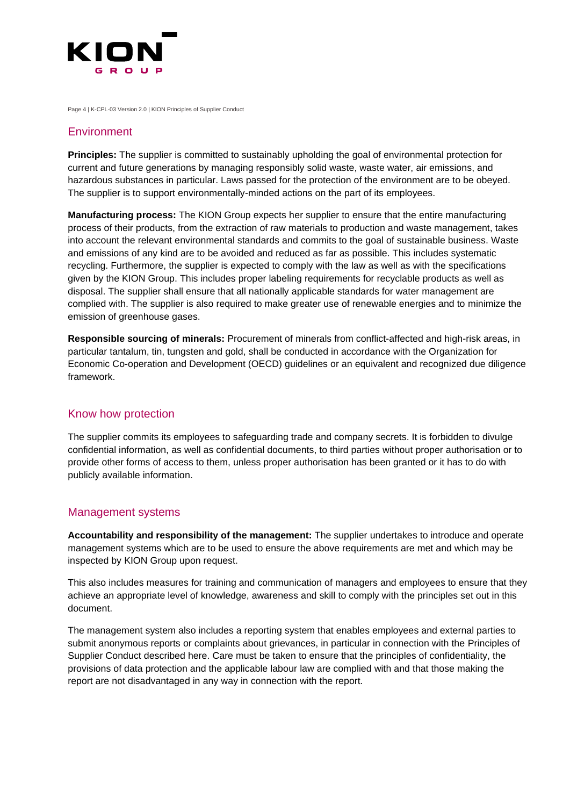

Page 4 | K-CPL-03 Version 2.0 | KION Principles of Supplier Conduct

#### **Environment**

**Principles:** The supplier is committed to sustainably upholding the goal of environmental protection for current and future generations by managing responsibly solid waste, waste water, air emissions, and hazardous substances in particular. Laws passed for the protection of the environment are to be obeyed. The supplier is to support environmentally-minded actions on the part of its employees.

**Manufacturing process:** The KION Group expects her supplier to ensure that the entire manufacturing process of their products, from the extraction of raw materials to production and waste management, takes into account the relevant environmental standards and commits to the goal of sustainable business. Waste and emissions of any kind are to be avoided and reduced as far as possible. This includes systematic recycling. Furthermore, the supplier is expected to comply with the law as well as with the specifications given by the KION Group. This includes proper labeling requirements for recyclable products as well as disposal. The supplier shall ensure that all nationally applicable standards for water management are complied with. The supplier is also required to make greater use of renewable energies and to minimize the emission of greenhouse gases.

**Responsible sourcing of minerals:** Procurement of minerals from conflict-affected and high-risk areas, in particular tantalum, tin, tungsten and gold, shall be conducted in accordance with the Organization for Economic Co-operation and Development (OECD) guidelines or an equivalent and recognized due diligence framework.

### Know how protection

The supplier commits its employees to safeguarding trade and company secrets. It is forbidden to divulge confidential information, as well as confidential documents, to third parties without proper authorisation or to provide other forms of access to them, unless proper authorisation has been granted or it has to do with publicly available information.

#### Management systems

**Accountability and responsibility of the management:** The supplier undertakes to introduce and operate management systems which are to be used to ensure the above requirements are met and which may be inspected by KION Group upon request.

This also includes measures for training and communication of managers and employees to ensure that they achieve an appropriate level of knowledge, awareness and skill to comply with the principles set out in this document.

The management system also includes a reporting system that enables employees and external parties to submit anonymous reports or complaints about grievances, in particular in connection with the Principles of Supplier Conduct described here. Care must be taken to ensure that the principles of confidentiality, the provisions of data protection and the applicable labour law are complied with and that those making the report are not disadvantaged in any way in connection with the report.